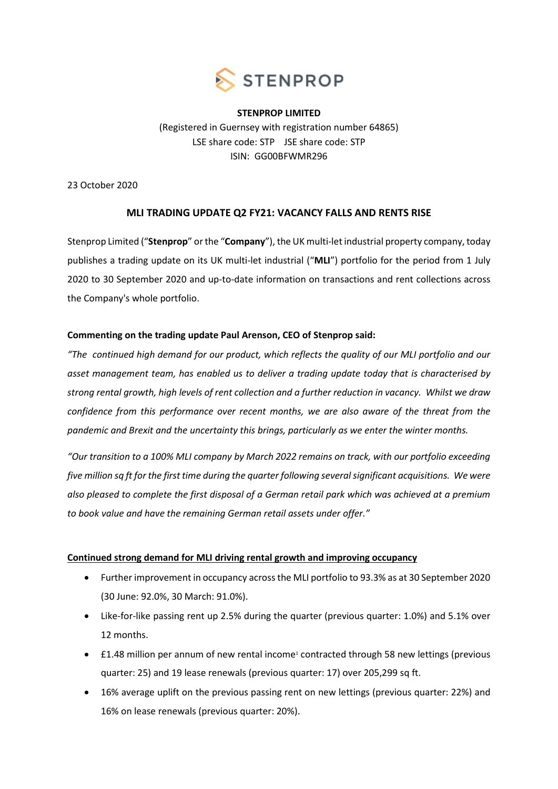

**STENPROP LIMITED** (Registered in Guernsey with registration number 64865) LSE share code: STP JSE share code: STP ISIN: GG00BFWMR296

23 October 2020

# **MLI TRADING UPDATE Q2 FY21: VACANCY FALLS AND RENTS RISE**

Stenprop Limited ("**Stenprop**" or the "**Company**"), the UK multi-let industrial property company, today publishes a trading update on its UK multi-let industrial ("**MLI**") portfolio for the period from 1 July 2020 to 30 September 2020 and up-to-date information on transactions and rent collections across the Company's whole portfolio.

# **Commenting on the trading update Paul Arenson, CEO of Stenprop said:**

*"The continued high demand for our product, which reflects the quality of our MLI portfolio and our asset management team, has enabled us to deliver a trading update today that is characterised by strong rental growth, high levels of rent collection and a further reduction in vacancy. Whilst we draw confidence from this performance over recent months, we are also aware of the threat from the pandemic and Brexit and the uncertainty this brings, particularly as we enter the winter months.* 

*"Our transition to a 100% MLI company by March 2022 remains on track, with our portfolio exceeding five million sq ft for the first time during the quarter following several significant acquisitions. We were also pleased to complete the first disposal of a German retail park which was achieved at a premium to book value and have the remaining German retail assets under offer."*

# **Continued strong demand for MLI driving rental growth and improving occupancy**

- Further improvement in occupancy across the MLI portfolio to 93.3% as at 30 September 2020 (30 June: 92.0%, 30 March: 91.0%).
- Like-for-like passing rent up 2.5% during the quarter (previous quarter: 1.0%) and 5.1% over 12 months.
- £1.48 million per annum of new rental income<sup>1</sup> contracted through 58 new lettings (previous quarter: 25) and 19 lease renewals (previous quarter: 17) over 205,299 sq ft.
- 16% average uplift on the previous passing rent on new lettings (previous quarter: 22%) and 16% on lease renewals (previous quarter: 20%).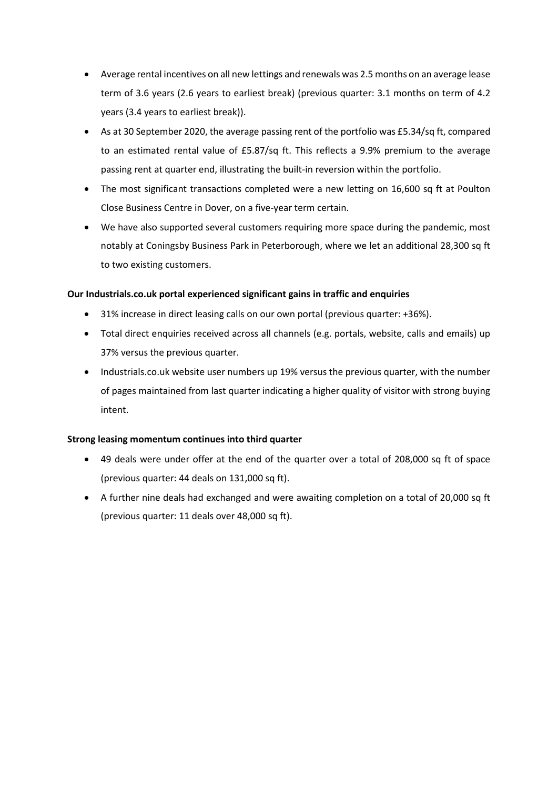- Average rental incentives on all new lettings and renewals was 2.5 months on an average lease term of 3.6 years (2.6 years to earliest break) (previous quarter: 3.1 months on term of 4.2 years (3.4 years to earliest break)).
- As at 30 September 2020, the average passing rent of the portfolio was £5.34/sq ft, compared to an estimated rental value of £5.87/sq ft. This reflects a 9.9% premium to the average passing rent at quarter end, illustrating the built-in reversion within the portfolio.
- The most significant transactions completed were a new letting on 16,600 sq ft at Poulton Close Business Centre in Dover, on a five-year term certain.
- We have also supported several customers requiring more space during the pandemic, most notably at Coningsby Business Park in Peterborough, where we let an additional 28,300 sq ft to two existing customers.

# **Our Industrials.co.uk portal experienced significant gains in traffic and enquiries**

- 31% increase in direct leasing calls on our own portal (previous quarter: +36%).
- Total direct enquiries received across all channels (e.g. portals, website, calls and emails) up 37% versus the previous quarter.
- Industrials.co.uk website user numbers up 19% versus the previous quarter, with the number of pages maintained from last quarter indicating a higher quality of visitor with strong buying intent.

# **Strong leasing momentum continues into third quarter**

- 49 deals were under offer at the end of the quarter over a total of 208,000 sq ft of space (previous quarter: 44 deals on 131,000 sq ft).
- A further nine deals had exchanged and were awaiting completion on a total of 20,000 sq ft (previous quarter: 11 deals over 48,000 sq ft).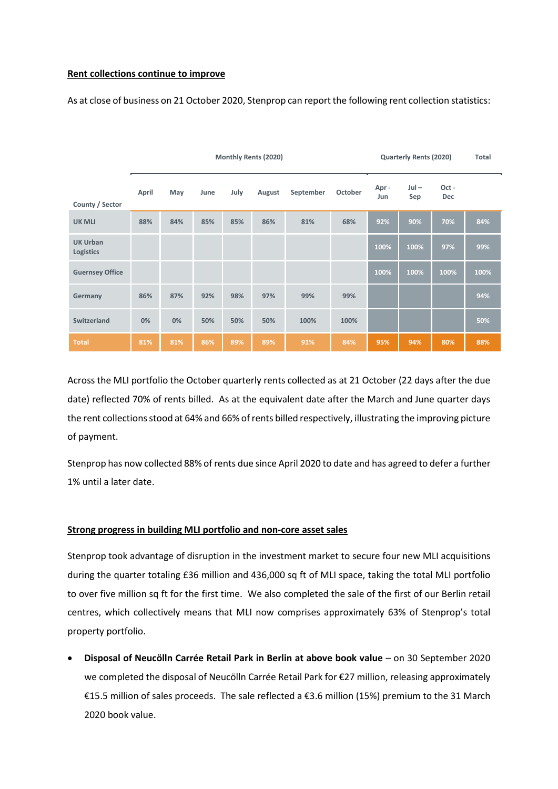#### **Rent collections continue to improve**

As at close of business on 21 October 2020, Stenprop can report the following rent collection statistics:

|                                     | <b>Monthly Rents (2020)</b> |     |      |      |        |           |         | <b>Quarterly Rents (2020)</b> |                |              | <b>Total</b> |
|-------------------------------------|-----------------------------|-----|------|------|--------|-----------|---------|-------------------------------|----------------|--------------|--------------|
| County / Sector                     | April                       | May | June | July | August | September | October | Apr-<br>Jun                   | $Jul -$<br>Sep | Oct -<br>Dec |              |
| <b>UK MLI</b>                       | 88%                         | 84% | 85%  | 85%  | 86%    | 81%       | 68%     | 92%                           | 90%            | 70%          | 84%          |
| <b>UK Urban</b><br><b>Logistics</b> |                             |     |      |      |        |           |         | 100%                          | 100%           | 97%          | 99%          |
| <b>Guernsey Office</b>              |                             |     |      |      |        |           |         | 100%                          | 100%           | 100%         | 100%         |
| Germany                             | 86%                         | 87% | 92%  | 98%  | 97%    | 99%       | 99%     |                               |                |              | 94%          |
| Switzerland                         | 0%                          | 0%  | 50%  | 50%  | 50%    | 100%      | 100%    |                               |                |              | 50%          |
| <b>Total</b>                        | 81%                         | 81% | 86%  | 89%  | 89%    | 91%       | 84%     | 95%                           | 94%            | 80%          | 88%          |

Across the MLI portfolio the October quarterly rents collected as at 21 October (22 days after the due date) reflected 70% of rents billed. As at the equivalent date after the March and June quarter days the rent collections stood at 64% and 66% of rents billed respectively, illustrating the improving picture of payment.

Stenprop has now collected 88% of rents due since April 2020 to date and has agreed to defer a further 1% until a later date.

# **Strong progress in building MLI portfolio and non-core asset sales**

Stenprop took advantage of disruption in the investment market to secure four new MLI acquisitions during the quarter totaling £36 million and 436,000 sq ft of MLI space, taking the total MLI portfolio to over five million sq ft for the first time. We also completed the sale of the first of our Berlin retail centres, which collectively means that MLI now comprises approximately 63% of Stenprop's total property portfolio.

• **Disposal of Neucӧlln Carrée Retail Park in Berlin at above book value** – on 30 September 2020 we completed the disposal of Neucölln Carrée Retail Park for €27 million, releasing approximately €15.5 million of sales proceeds. The sale reflected a €3.6 million (15%) premium to the 31 March 2020 book value.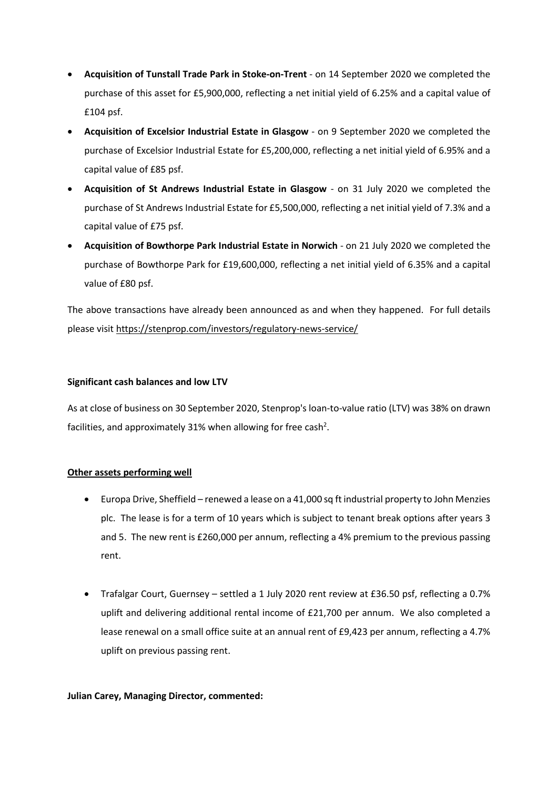- **Acquisition of Tunstall Trade Park in Stoke-on-Trent**  on 14 September 2020 we completed the purchase of this asset for £5,900,000, reflecting a net initial yield of 6.25% and a capital value of £104 psf.
- **Acquisition of Excelsior Industrial Estate in Glasgow**  on 9 September 2020 we completed the purchase of Excelsior Industrial Estate for £5,200,000, reflecting a net initial yield of 6.95% and a capital value of £85 psf.
- **Acquisition of St Andrews Industrial Estate in Glasgow**  on 31 July 2020 we completed the purchase of St Andrews Industrial Estate for £5,500,000, reflecting a net initial yield of 7.3% and a capital value of £75 psf.
- **Acquisition of Bowthorpe Park Industrial Estate in Norwich** on 21 July 2020 we completed the purchase of Bowthorpe Park for £19,600,000, reflecting a net initial yield of 6.35% and a capital value of £80 psf.

The above transactions have already been announced as and when they happened. For full details please visit https://stenprop.com/investors/regulatory-news-service/

# **Significant cash balances and low LTV**

As at close of business on 30 September 2020, Stenprop's loan-to-value ratio (LTV) was 38% on drawn facilities, and approximately 31% when allowing for free cash<sup>2</sup>.

# **Other assets performing well**

- Europa Drive, Sheffield renewed a lease on a 41,000 sq ft industrial property to John Menzies plc. The lease is for a term of 10 years which is subject to tenant break options after years 3 and 5. The new rent is £260,000 per annum, reflecting a 4% premium to the previous passing rent.
- Trafalgar Court, Guernsey settled a 1 July 2020 rent review at £36.50 psf, reflecting a 0.7% uplift and delivering additional rental income of £21,700 per annum. We also completed a lease renewal on a small office suite at an annual rent of £9,423 per annum, reflecting a 4.7% uplift on previous passing rent.

# **Julian Carey, Managing Director, commented:**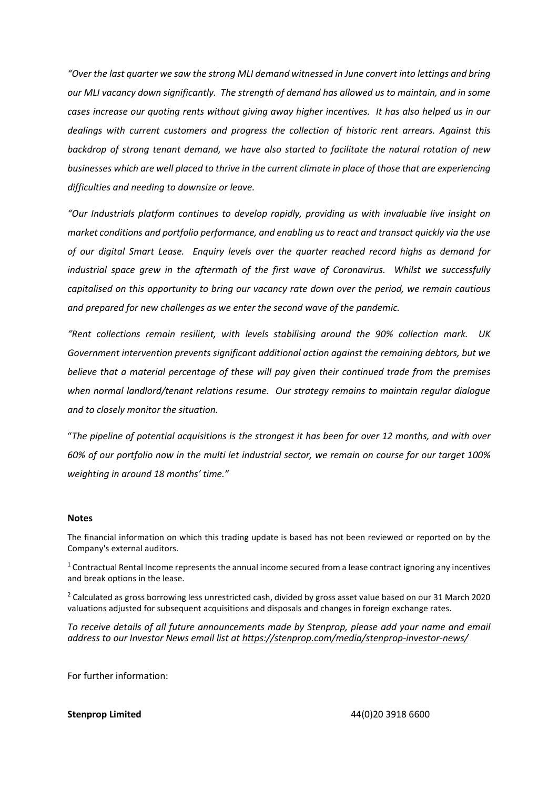*"Over the last quarter we saw the strong MLI demand witnessed in June convert into lettings and bring our MLI vacancy down significantly. The strength of demand has allowed us to maintain, and in some cases increase our quoting rents without giving away higher incentives. It has also helped us in our dealings with current customers and progress the collection of historic rent arrears. Against this backdrop of strong tenant demand, we have also started to facilitate the natural rotation of new businesses which are well placed to thrive in the current climate in place of those that are experiencing difficulties and needing to downsize or leave.* 

*"Our Industrials platform continues to develop rapidly, providing us with invaluable live insight on market conditions and portfolio performance, and enabling us to react and transact quickly via the use of our digital Smart Lease. Enquiry levels over the quarter reached record highs as demand for industrial space grew in the aftermath of the first wave of Coronavirus. Whilst we successfully capitalised on this opportunity to bring our vacancy rate down over the period, we remain cautious and prepared for new challenges as we enter the second wave of the pandemic.* 

*"Rent collections remain resilient, with levels stabilising around the 90% collection mark. UK Government intervention prevents significant additional action against the remaining debtors, but we believe that a material percentage of these will pay given their continued trade from the premises when normal landlord/tenant relations resume. Our strategy remains to maintain regular dialogue and to closely monitor the situation.* 

"*The pipeline of potential acquisitions is the strongest it has been for over 12 months, and with over 60% of our portfolio now in the multi let industrial sector, we remain on course for our target 100% weighting in around 18 months' time."*

#### **Notes**

The financial information on which this trading update is based has not been reviewed or reported on by the Company's external auditors.

<sup>1</sup> Contractual Rental Income represents the annual income secured from a lease contract ignoring any incentives and break options in the lease.

 $2$  Calculated as gross borrowing less unrestricted cash, divided by gross asset value based on our 31 March 2020 valuations adjusted for subsequent acquisitions and disposals and changes in foreign exchange rates.

*To receive details of all future announcements made by Stenprop, please add your name and email address to our Investor News email list at<https://stenprop.com/media/stenprop-investor-news/>*

For further information: